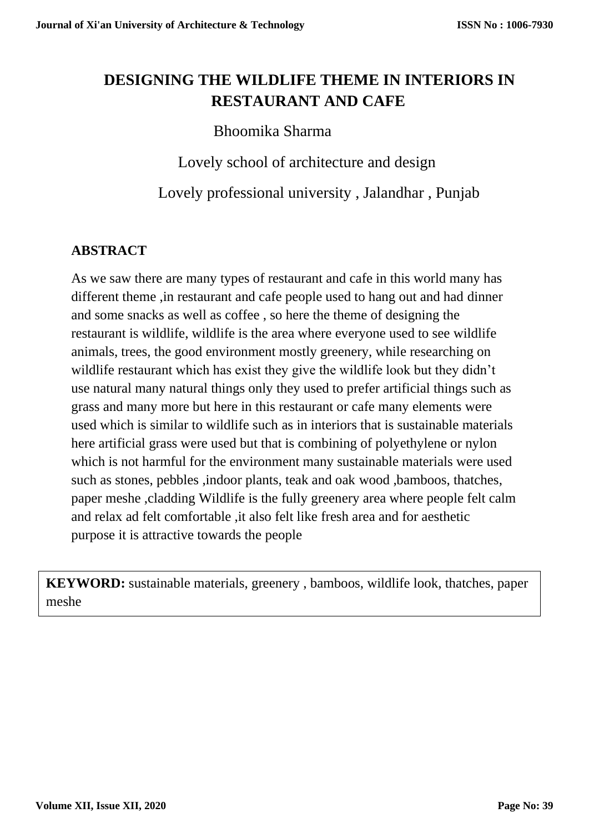# **DESIGNING THE WILDLIFE THEME IN INTERIORS IN RESTAURANT AND CAFE**

## Bhoomika Sharma

Lovely school of architecture and design

Lovely professional university , Jalandhar , Punjab

## **ABSTRACT**

As we saw there are many types of restaurant and cafe in this world many has different theme ,in restaurant and cafe people used to hang out and had dinner and some snacks as well as coffee , so here the theme of designing the restaurant is wildlife, wildlife is the area where everyone used to see wildlife animals, trees, the good environment mostly greenery, while researching on wildlife restaurant which has exist they give the wildlife look but they didn't use natural many natural things only they used to prefer artificial things such as grass and many more but here in this restaurant or cafe many elements were used which is similar to wildlife such as in interiors that is sustainable materials here artificial grass were used but that is combining of polyethylene or nylon which is not harmful for the environment many sustainable materials were used such as stones, pebbles ,indoor plants, teak and oak wood ,bamboos, thatches, paper meshe ,cladding Wildlife is the fully greenery area where people felt calm and relax ad felt comfortable ,it also felt like fresh area and for aesthetic purpose it is attractive towards the people

**KEYWORD:** sustainable materials, greenery , bamboos, wildlife look, thatches, paper meshe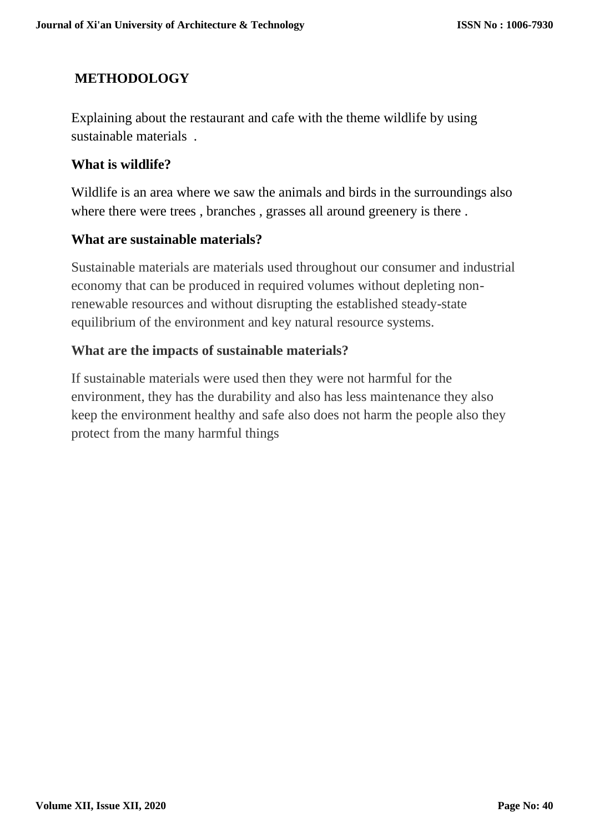### **METHODOLOGY**

Explaining about the restaurant and cafe with the theme wildlife by using sustainable materials .

### **What is wildlife?**

Wildlife is an area where we saw the animals and birds in the surroundings also where there were trees , branches , grasses all around greenery is there .

### **What are sustainable materials?**

Sustainable materials are materials used throughout our consumer and industrial economy that can be produced in required volumes without depleting nonrenewable resources and without disrupting the established steady-state equilibrium of the environment and key natural resource systems.

### **What are the impacts of sustainable materials?**

If sustainable materials were used then they were not harmful for the environment, they has the durability and also has less maintenance they also keep the environment healthy and safe also does not harm the people also they protect from the many harmful things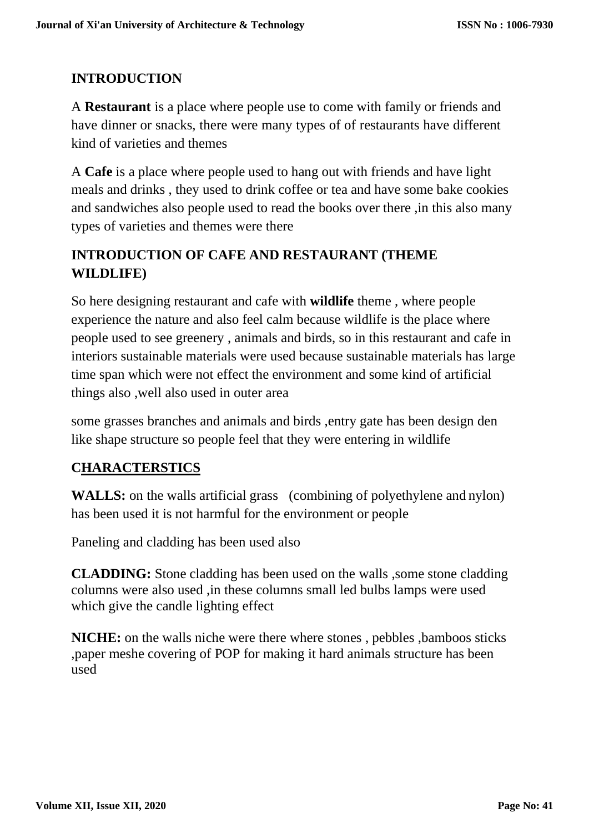## **INTRODUCTION**

A **Restaurant** is a place where people use to come with family or friends and have dinner or snacks, there were many types of of restaurants have different kind of varieties and themes

A **Cafe** is a place where people used to hang out with friends and have light meals and drinks , they used to drink coffee or tea and have some bake cookies and sandwiches also people used to read the books over there ,in this also many types of varieties and themes were there

## **INTRODUCTION OF CAFE AND RESTAURANT (THEME WILDLIFE)**

So here designing restaurant and cafe with **wildlife** theme , where people experience the nature and also feel calm because wildlife is the place where people used to see greenery , animals and birds, so in this restaurant and cafe in interiors sustainable materials were used because sustainable materials has large time span which were not effect the environment and some kind of artificial things also ,well also used in outer area

some grasses branches and animals and birds ,entry gate has been design den like shape structure so people feel that they were entering in wildlife

## **CHARACTERSTICS**

WALLS: on the walls artificial grass (combining of polyethylene and nylon) has been used it is not harmful for the environment or people

Paneling and cladding has been used also

**CLADDING:** Stone cladding has been used on the walls ,some stone cladding columns were also used ,in these columns small led bulbs lamps were used which give the candle lighting effect

**NICHE:** on the walls niche were there where stones , pebbles ,bamboos sticks ,paper meshe covering of POP for making it hard animals structure has been used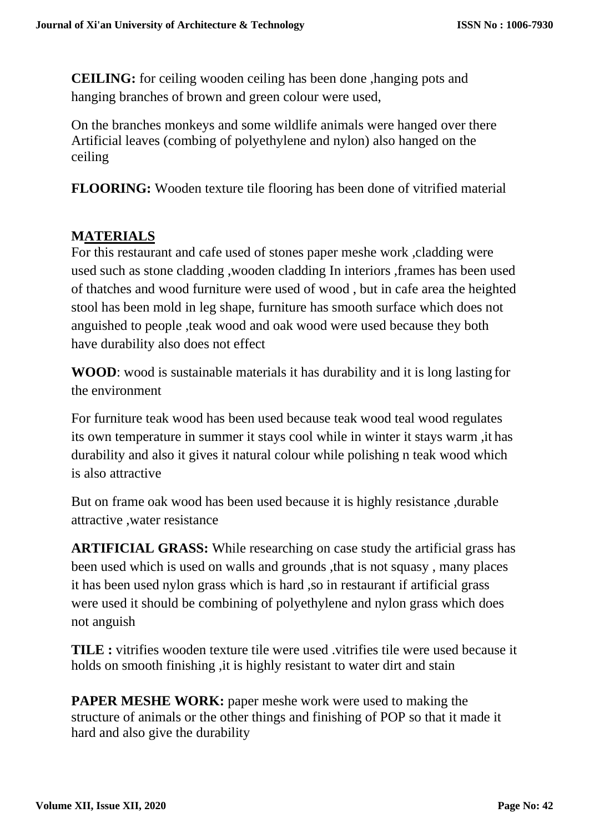**CEILING:** for ceiling wooden ceiling has been done ,hanging pots and hanging branches of brown and green colour were used,

On the branches monkeys and some wildlife animals were hanged over there Artificial leaves (combing of polyethylene and nylon) also hanged on the ceiling

**FLOORING:** Wooden texture tile flooring has been done of vitrified material

## **MATERIALS**

For this restaurant and cafe used of stones paper meshe work ,cladding were used such as stone cladding ,wooden cladding In interiors ,frames has been used of thatches and wood furniture were used of wood , but in cafe area the heighted stool has been mold in leg shape, furniture has smooth surface which does not anguished to people ,teak wood and oak wood were used because they both have durability also does not effect

**WOOD**: wood is sustainable materials it has durability and it is long lasting for the environment

For furniture teak wood has been used because teak wood teal wood regulates its own temperature in summer it stays cool while in winter it stays warm ,it has durability and also it gives it natural colour while polishing n teak wood which is also attractive

But on frame oak wood has been used because it is highly resistance ,durable attractive ,water resistance

**ARTIFICIAL GRASS:** While researching on case study the artificial grass has been used which is used on walls and grounds ,that is not squasy , many places it has been used nylon grass which is hard ,so in restaurant if artificial grass were used it should be combining of polyethylene and nylon grass which does not anguish

**TILE :** vitrifies wooden texture tile were used .vitrifies tile were used because it holds on smooth finishing ,it is highly resistant to water dirt and stain

**PAPER MESHE WORK:** paper meshe work were used to making the structure of animals or the other things and finishing of POP so that it made it hard and also give the durability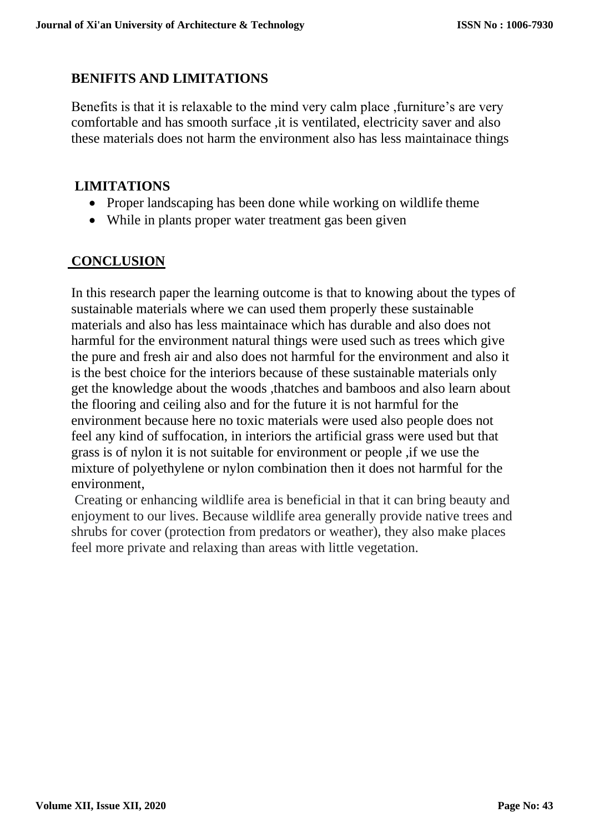### **BENIFITS AND LIMITATIONS**

Benefits is that it is relaxable to the mind very calm place ,furniture's are very comfortable and has smooth surface, it is ventilated, electricity saver and also these materials does not harm the environment also has less maintainace things

### **LIMITATIONS**

- Proper landscaping has been done while working on wildlife theme
- While in plants proper water treatment gas been given

### **CONCLUSION**

In this research paper the learning outcome is that to knowing about the types of sustainable materials where we can used them properly these sustainable materials and also has less maintainace which has durable and also does not harmful for the environment natural things were used such as trees which give the pure and fresh air and also does not harmful for the environment and also it is the best choice for the interiors because of these sustainable materials only get the knowledge about the woods ,thatches and bamboos and also learn about the flooring and ceiling also and for the future it is not harmful for the environment because here no toxic materials were used also people does not feel any kind of suffocation, in interiors the artificial grass were used but that grass is of nylon it is not suitable for environment or people ,if we use the mixture of polyethylene or nylon combination then it does not harmful for the environment,

Creating or enhancing wildlife area is beneficial in that it can bring beauty and enjoyment to our lives. Because wildlife area generally provide native trees and shrubs for cover (protection from predators or weather), they also make places feel more private and relaxing than areas with little vegetation.